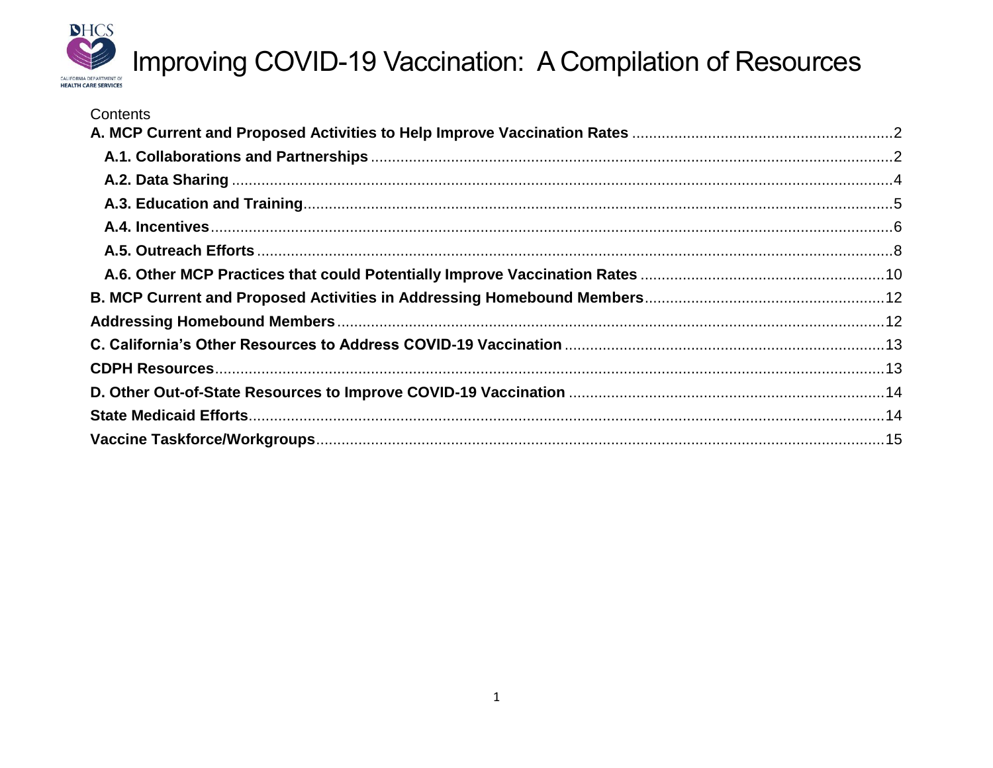

| Contents |  |
|----------|--|
|          |  |
|          |  |
|          |  |
|          |  |
|          |  |
|          |  |
|          |  |
|          |  |
|          |  |
|          |  |
|          |  |
|          |  |
|          |  |
|          |  |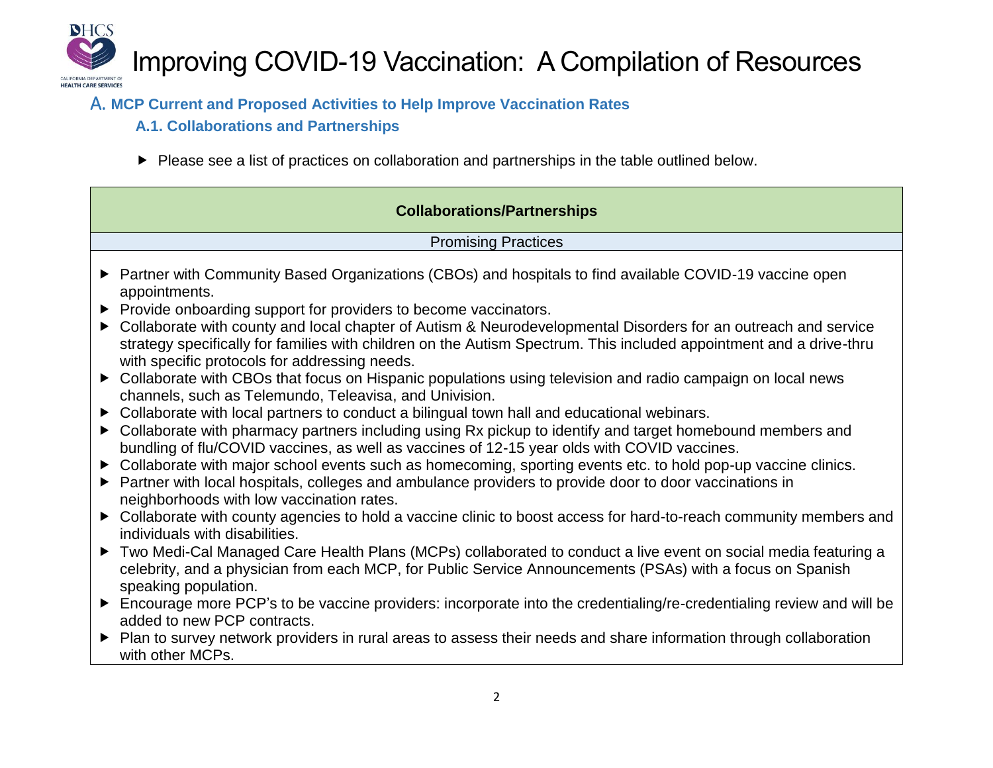

### A. **MCP Current and Proposed Activities to Help Improve Vaccination Rates**

- **A.1. Collaborations and Partnerships**
- Please see a list of practices on collaboration and partnerships in the table outlined below.

| <b>Collaborations/Partnerships</b>                                                                                                                                                                                                                                                                                                                                                                                                                                                          |  |  |
|---------------------------------------------------------------------------------------------------------------------------------------------------------------------------------------------------------------------------------------------------------------------------------------------------------------------------------------------------------------------------------------------------------------------------------------------------------------------------------------------|--|--|
| <b>Promising Practices</b>                                                                                                                                                                                                                                                                                                                                                                                                                                                                  |  |  |
| ▶ Partner with Community Based Organizations (CBOs) and hospitals to find available COVID-19 vaccine open<br>appointments.<br>▶ Provide onboarding support for providers to become vaccinators.<br>• Collaborate with county and local chapter of Autism & Neurodevelopmental Disorders for an outreach and service<br>strategy specifically for families with children on the Autism Spectrum. This included appointment and a drive-thru<br>with specific protocols for addressing needs. |  |  |
| > Collaborate with CBOs that focus on Hispanic populations using television and radio campaign on local news<br>channels, such as Telemundo, Teleavisa, and Univision.                                                                                                                                                                                                                                                                                                                      |  |  |
| • Collaborate with local partners to conduct a bilingual town hall and educational webinars.<br>• Collaborate with pharmacy partners including using Rx pickup to identify and target homebound members and<br>bundling of flu/COVID vaccines, as well as vaccines of 12-15 year olds with COVID vaccines.                                                                                                                                                                                  |  |  |
| • Collaborate with major school events such as homecoming, sporting events etc. to hold pop-up vaccine clinics.<br>▶ Partner with local hospitals, colleges and ambulance providers to provide door to door vaccinations in<br>neighborhoods with low vaccination rates.                                                                                                                                                                                                                    |  |  |
| ► Collaborate with county agencies to hold a vaccine clinic to boost access for hard-to-reach community members and<br>individuals with disabilities.                                                                                                                                                                                                                                                                                                                                       |  |  |
| Two Medi-Cal Managed Care Health Plans (MCPs) collaborated to conduct a live event on social media featuring a<br>celebrity, and a physician from each MCP, for Public Service Announcements (PSAs) with a focus on Spanish<br>speaking population.                                                                                                                                                                                                                                         |  |  |
| Encourage more PCP's to be vaccine providers: incorporate into the credentialing/re-credentialing review and will be<br>added to new PCP contracts.                                                                                                                                                                                                                                                                                                                                         |  |  |
| ▶ Plan to survey network providers in rural areas to assess their needs and share information through collaboration<br>with other MCPs.                                                                                                                                                                                                                                                                                                                                                     |  |  |
|                                                                                                                                                                                                                                                                                                                                                                                                                                                                                             |  |  |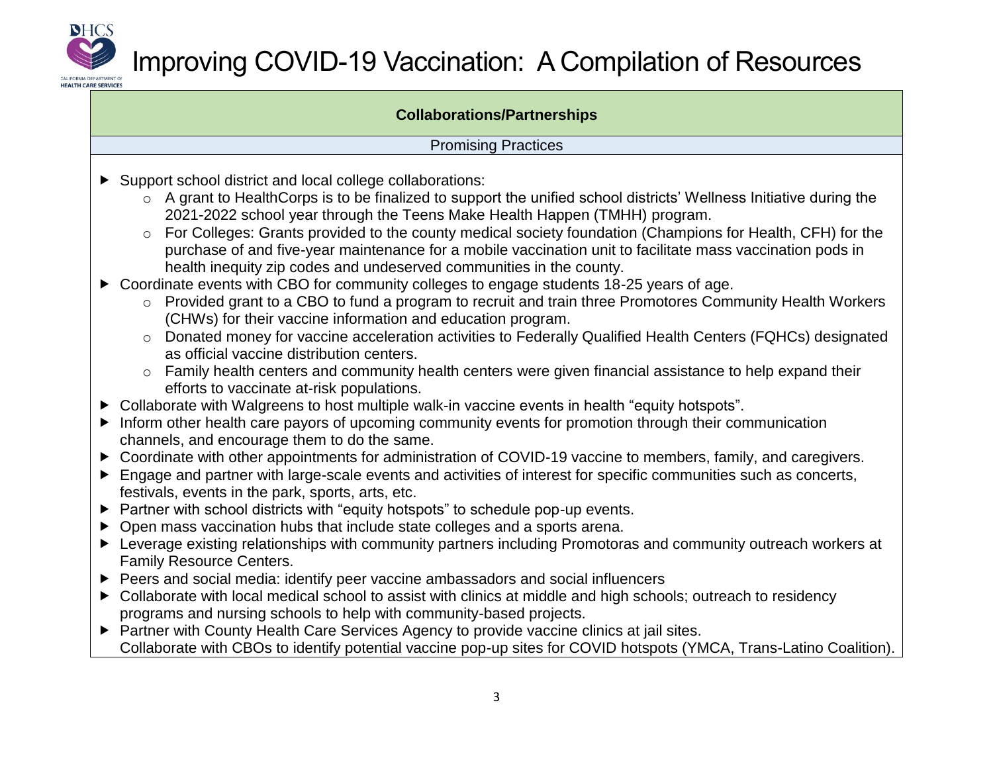

#### **Collaborations/Partnerships**

#### Promising Practices

- Support school district and local college collaborations:
	- o A grant to HealthCorps is to be finalized to support the unified school districts' Wellness Initiative during the 2021-2022 school year through the Teens Make Health Happen (TMHH) program.
	- o For Colleges: Grants provided to the county medical society foundation (Champions for Health, CFH) for the purchase of and five-year maintenance for a mobile vaccination unit to facilitate mass vaccination pods in health inequity zip codes and undeserved communities in the county.
- Coordinate events with CBO for community colleges to engage students 18-25 years of age.
	- o Provided grant to a CBO to fund a program to recruit and train three Promotores Community Health Workers (CHWs) for their vaccine information and education program.
	- o Donated money for vaccine acceleration activities to Federally Qualified Health Centers (FQHCs) designated as official vaccine distribution centers.
	- o Family health centers and community health centers were given financial assistance to help expand their efforts to vaccinate at-risk populations.
- ▶ Collaborate with Walgreens to host multiple walk-in vaccine events in health "equity hotspots".
- Inform other health care payors of upcoming community events for promotion through their communication channels, and encourage them to do the same.
- ▶ Coordinate with other appointments for administration of COVID-19 vaccine to members, family, and caregivers.
- Engage and partner with large-scale events and activities of interest for specific communities such as concerts, festivals, events in the park, sports, arts, etc.
- ▶ Partner with school districts with "equity hotspots" to schedule pop-up events.
- ▶ Open mass vaccination hubs that include state colleges and a sports arena.
- Leverage existing relationships with community partners including Promotoras and community outreach workers at Family Resource Centers.
- Peers and social media: identify peer vaccine ambassadors and social influencers
- ▶ Collaborate with local medical school to assist with clinics at middle and high schools; outreach to residency programs and nursing schools to help with community-based projects.
- ▶ Partner with County Health Care Services Agency to provide vaccine clinics at jail sites. Collaborate with CBOs to identify potential vaccine pop-up sites for COVID hotspots (YMCA, Trans-Latino Coalition).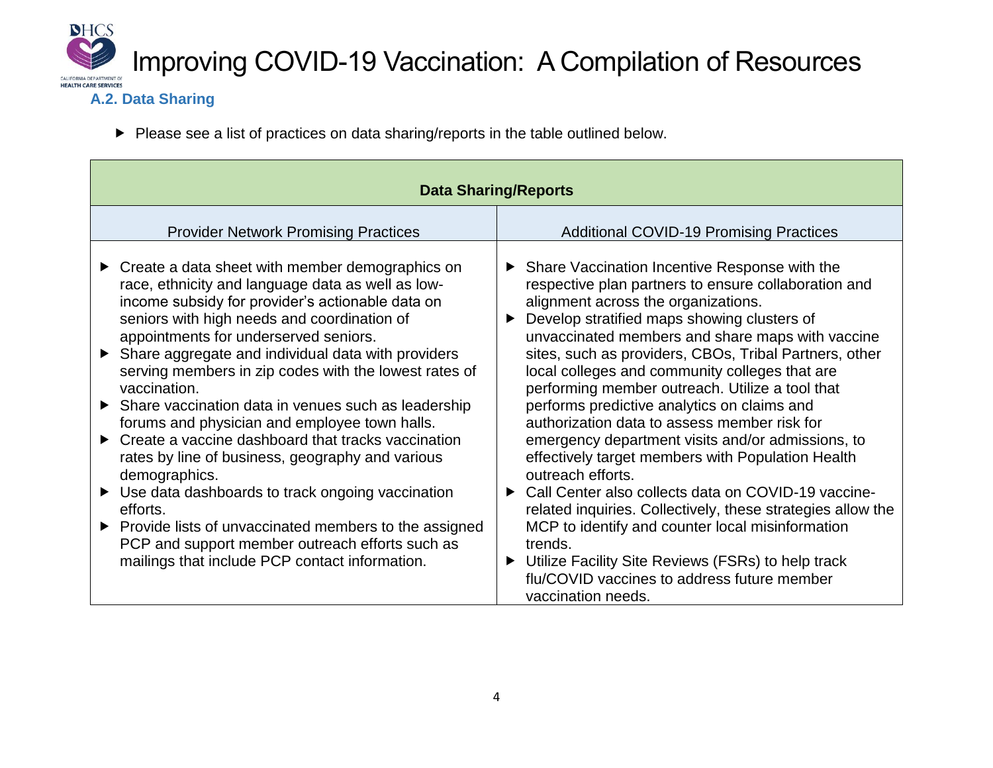

### **A.2. Data Sharing**

Please see a list of practices on data sharing/reports in the table outlined below.

| <b>Data Sharing/Reports</b>                                                                                                                                                                                                                                                                                                                                                                                                                                                                                                                                                                                                                                                                                                                                                                                                                                         |                                                                                                                                                                                                                                                                                                                                                                                                                                                                                                                                                                                                                                                                                                                                                                                                                                                                                                                                                                               |  |
|---------------------------------------------------------------------------------------------------------------------------------------------------------------------------------------------------------------------------------------------------------------------------------------------------------------------------------------------------------------------------------------------------------------------------------------------------------------------------------------------------------------------------------------------------------------------------------------------------------------------------------------------------------------------------------------------------------------------------------------------------------------------------------------------------------------------------------------------------------------------|-------------------------------------------------------------------------------------------------------------------------------------------------------------------------------------------------------------------------------------------------------------------------------------------------------------------------------------------------------------------------------------------------------------------------------------------------------------------------------------------------------------------------------------------------------------------------------------------------------------------------------------------------------------------------------------------------------------------------------------------------------------------------------------------------------------------------------------------------------------------------------------------------------------------------------------------------------------------------------|--|
| <b>Provider Network Promising Practices</b>                                                                                                                                                                                                                                                                                                                                                                                                                                                                                                                                                                                                                                                                                                                                                                                                                         | <b>Additional COVID-19 Promising Practices</b>                                                                                                                                                                                                                                                                                                                                                                                                                                                                                                                                                                                                                                                                                                                                                                                                                                                                                                                                |  |
| Create a data sheet with member demographics on<br>race, ethnicity and language data as well as low-<br>income subsidy for provider's actionable data on<br>seniors with high needs and coordination of<br>appointments for underserved seniors.<br>Share aggregate and individual data with providers<br>serving members in zip codes with the lowest rates of<br>vaccination.<br>Share vaccination data in venues such as leadership<br>forums and physician and employee town halls.<br>$\triangleright$ Create a vaccine dashboard that tracks vaccination<br>rates by line of business, geography and various<br>demographics.<br>Use data dashboards to track ongoing vaccination<br>efforts.<br>▶ Provide lists of unvaccinated members to the assigned<br>PCP and support member outreach efforts such as<br>mailings that include PCP contact information. | ▶ Share Vaccination Incentive Response with the<br>respective plan partners to ensure collaboration and<br>alignment across the organizations.<br>Develop stratified maps showing clusters of<br>▶<br>unvaccinated members and share maps with vaccine<br>sites, such as providers, CBOs, Tribal Partners, other<br>local colleges and community colleges that are<br>performing member outreach. Utilize a tool that<br>performs predictive analytics on claims and<br>authorization data to assess member risk for<br>emergency department visits and/or admissions, to<br>effectively target members with Population Health<br>outreach efforts.<br>Call Center also collects data on COVID-19 vaccine-<br>▶<br>related inquiries. Collectively, these strategies allow the<br>MCP to identify and counter local misinformation<br>trends.<br>Utilize Facility Site Reviews (FSRs) to help track<br>▶<br>flu/COVID vaccines to address future member<br>vaccination needs. |  |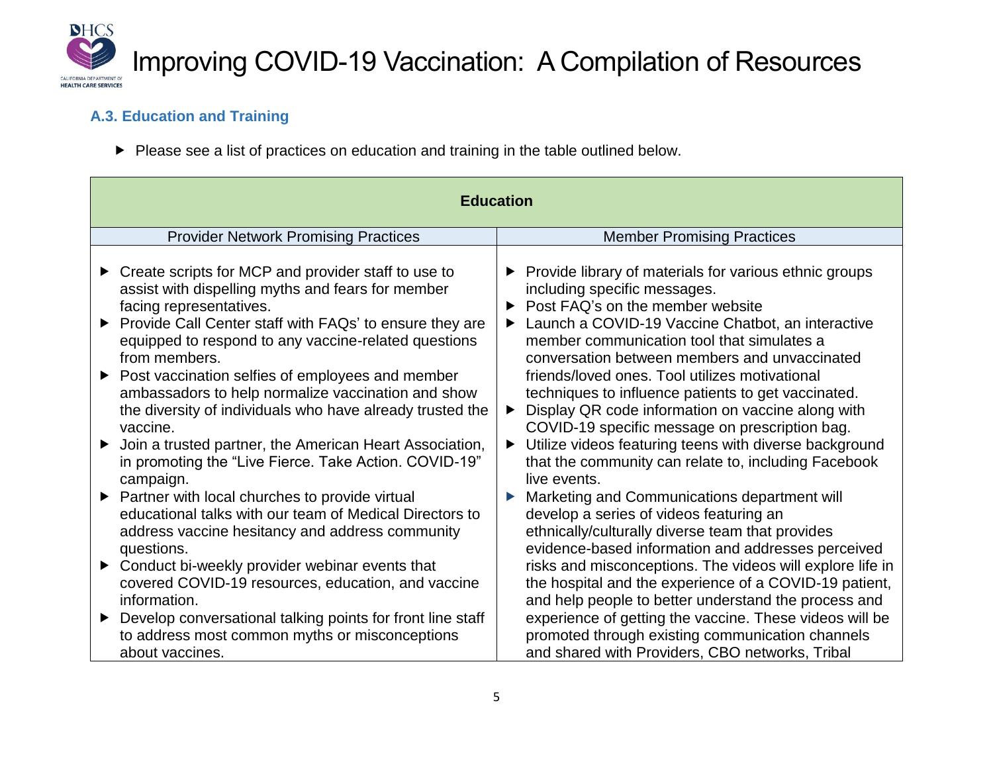

### **A.3. Education and Training**

Please see a list of practices on education and training in the table outlined below.

| <b>Education</b>                                                                                                                                                                                                                                                                                                                                                                                                                                                                                                                                                                                                                                                                                                                                                                                                                                                                                                                                                                                   |                                                                                                                                                                                                                                                                                                                                                                                                                                                                                                                                                                                                                                                                                                                                                                                                                                                                                                                                                                                                                                                                                                               |  |
|----------------------------------------------------------------------------------------------------------------------------------------------------------------------------------------------------------------------------------------------------------------------------------------------------------------------------------------------------------------------------------------------------------------------------------------------------------------------------------------------------------------------------------------------------------------------------------------------------------------------------------------------------------------------------------------------------------------------------------------------------------------------------------------------------------------------------------------------------------------------------------------------------------------------------------------------------------------------------------------------------|---------------------------------------------------------------------------------------------------------------------------------------------------------------------------------------------------------------------------------------------------------------------------------------------------------------------------------------------------------------------------------------------------------------------------------------------------------------------------------------------------------------------------------------------------------------------------------------------------------------------------------------------------------------------------------------------------------------------------------------------------------------------------------------------------------------------------------------------------------------------------------------------------------------------------------------------------------------------------------------------------------------------------------------------------------------------------------------------------------------|--|
| <b>Provider Network Promising Practices</b>                                                                                                                                                                                                                                                                                                                                                                                                                                                                                                                                                                                                                                                                                                                                                                                                                                                                                                                                                        | <b>Member Promising Practices</b>                                                                                                                                                                                                                                                                                                                                                                                                                                                                                                                                                                                                                                                                                                                                                                                                                                                                                                                                                                                                                                                                             |  |
| Create scripts for MCP and provider staff to use to<br>▶<br>assist with dispelling myths and fears for member<br>facing representatives.<br>Provide Call Center staff with FAQs' to ensure they are<br>▶<br>equipped to respond to any vaccine-related questions<br>from members.<br>Post vaccination selfies of employees and member<br>▶<br>ambassadors to help normalize vaccination and show<br>the diversity of individuals who have already trusted the<br>vaccine.<br>Join a trusted partner, the American Heart Association,<br>▶<br>in promoting the "Live Fierce. Take Action. COVID-19"<br>campaign.<br>Partner with local churches to provide virtual<br>▶<br>educational talks with our team of Medical Directors to<br>address vaccine hesitancy and address community<br>questions.<br>Conduct bi-weekly provider webinar events that<br>▶<br>covered COVID-19 resources, education, and vaccine<br>information.<br>Develop conversational talking points for front line staff<br>▶ | Provide library of materials for various ethnic groups<br>▶<br>including specific messages.<br>Post FAQ's on the member website<br>▶<br>Launch a COVID-19 Vaccine Chatbot, an interactive<br>▶<br>member communication tool that simulates a<br>conversation between members and unvaccinated<br>friends/loved ones. Tool utilizes motivational<br>techniques to influence patients to get vaccinated.<br>Display QR code information on vaccine along with<br>▶<br>COVID-19 specific message on prescription bag.<br>Utilize videos featuring teens with diverse background<br>▶<br>that the community can relate to, including Facebook<br>live events.<br>Marketing and Communications department will<br>▶<br>develop a series of videos featuring an<br>ethnically/culturally diverse team that provides<br>evidence-based information and addresses perceived<br>risks and misconceptions. The videos will explore life in<br>the hospital and the experience of a COVID-19 patient,<br>and help people to better understand the process and<br>experience of getting the vaccine. These videos will be |  |
| to address most common myths or misconceptions                                                                                                                                                                                                                                                                                                                                                                                                                                                                                                                                                                                                                                                                                                                                                                                                                                                                                                                                                     | promoted through existing communication channels                                                                                                                                                                                                                                                                                                                                                                                                                                                                                                                                                                                                                                                                                                                                                                                                                                                                                                                                                                                                                                                              |  |
| about vaccines.                                                                                                                                                                                                                                                                                                                                                                                                                                                                                                                                                                                                                                                                                                                                                                                                                                                                                                                                                                                    | and shared with Providers, CBO networks, Tribal                                                                                                                                                                                                                                                                                                                                                                                                                                                                                                                                                                                                                                                                                                                                                                                                                                                                                                                                                                                                                                                               |  |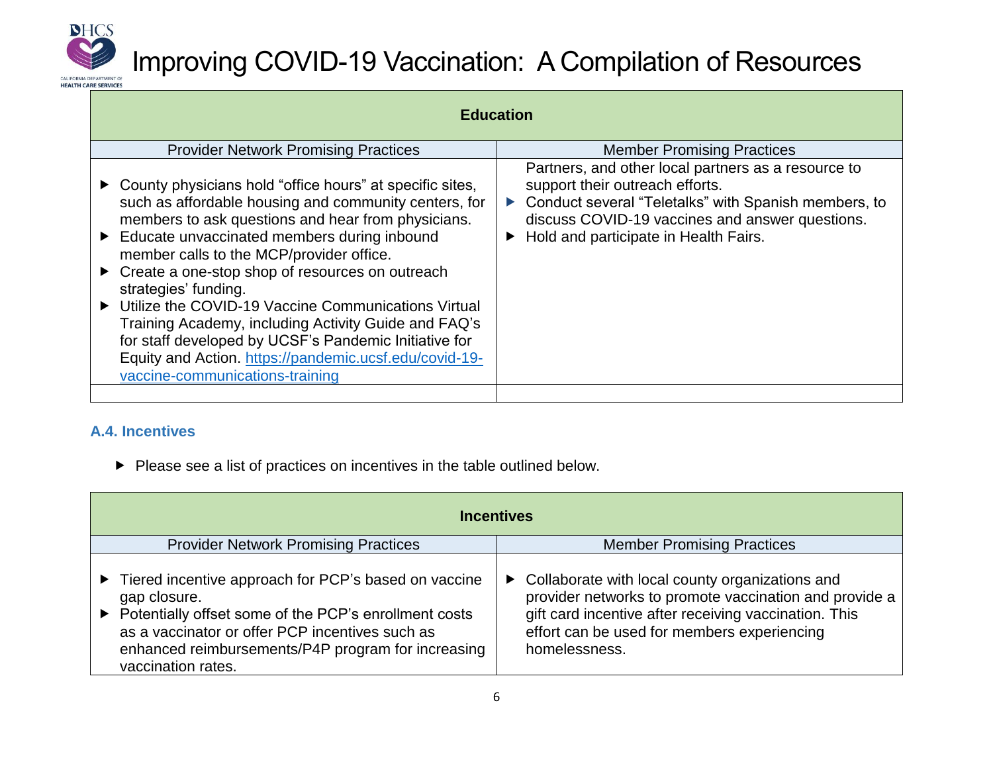

| <b>Education</b>                                                                                                                                                                                                                                                                                                                                                                                                                                                                                                                                                                                                   |                                                                                                                                                                                                                                              |  |
|--------------------------------------------------------------------------------------------------------------------------------------------------------------------------------------------------------------------------------------------------------------------------------------------------------------------------------------------------------------------------------------------------------------------------------------------------------------------------------------------------------------------------------------------------------------------------------------------------------------------|----------------------------------------------------------------------------------------------------------------------------------------------------------------------------------------------------------------------------------------------|--|
| <b>Provider Network Promising Practices</b>                                                                                                                                                                                                                                                                                                                                                                                                                                                                                                                                                                        | <b>Member Promising Practices</b>                                                                                                                                                                                                            |  |
| County physicians hold "office hours" at specific sites,<br>such as affordable housing and community centers, for<br>members to ask questions and hear from physicians.<br>Educate unvaccinated members during inbound<br>member calls to the MCP/provider office.<br>Create a one-stop shop of resources on outreach<br>strategies' funding.<br>Utilize the COVID-19 Vaccine Communications Virtual<br>Training Academy, including Activity Guide and FAQ's<br>for staff developed by UCSF's Pandemic Initiative for<br>Equity and Action. https://pandemic.ucsf.edu/covid-19-<br>vaccine-communications-training | Partners, and other local partners as a resource to<br>support their outreach efforts.<br>Conduct several "Teletalks" with Spanish members, to<br>discuss COVID-19 vaccines and answer questions.<br>► Hold and participate in Health Fairs. |  |
|                                                                                                                                                                                                                                                                                                                                                                                                                                                                                                                                                                                                                    |                                                                                                                                                                                                                                              |  |

#### **A.4. Incentives**

▶ Please see a list of practices on incentives in the table outlined below.

|                                                                                  | <b>Incentives</b>                                                                                                                                                                                                                                            |  |                                                                                                                                                                                                                                      |
|----------------------------------------------------------------------------------|--------------------------------------------------------------------------------------------------------------------------------------------------------------------------------------------------------------------------------------------------------------|--|--------------------------------------------------------------------------------------------------------------------------------------------------------------------------------------------------------------------------------------|
| <b>Provider Network Promising Practices</b><br><b>Member Promising Practices</b> |                                                                                                                                                                                                                                                              |  |                                                                                                                                                                                                                                      |
|                                                                                  | Tiered incentive approach for PCP's based on vaccine<br>gap closure.<br>Potentially offset some of the PCP's enrollment costs<br>as a vaccinator or offer PCP incentives such as<br>enhanced reimbursements/P4P program for increasing<br>vaccination rates. |  | ▶ Collaborate with local county organizations and<br>provider networks to promote vaccination and provide a<br>gift card incentive after receiving vaccination. This<br>effort can be used for members experiencing<br>homelessness. |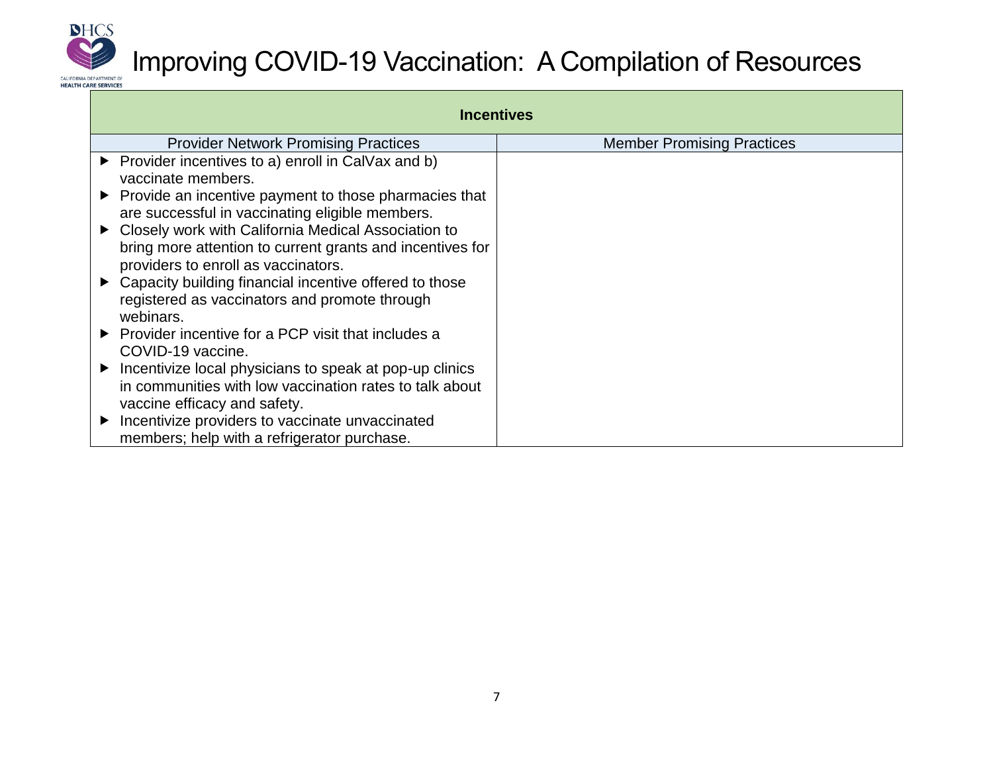

| <b>Incentives</b>                                                                                                                                       |                                   |  |
|---------------------------------------------------------------------------------------------------------------------------------------------------------|-----------------------------------|--|
| <b>Provider Network Promising Practices</b>                                                                                                             | <b>Member Promising Practices</b> |  |
| $\triangleright$ Provider incentives to a) enroll in CalVax and b)<br>vaccinate members.                                                                |                                   |  |
| Provide an incentive payment to those pharmacies that<br>are successful in vaccinating eligible members.                                                |                                   |  |
| Closely work with California Medical Association to<br>bring more attention to current grants and incentives for<br>providers to enroll as vaccinators. |                                   |  |
| • Capacity building financial incentive offered to those<br>registered as vaccinators and promote through<br>webinars.                                  |                                   |  |
| Provider incentive for a PCP visit that includes a<br>COVID-19 vaccine.                                                                                 |                                   |  |
| Incentivize local physicians to speak at pop-up clinics<br>in communities with low vaccination rates to talk about<br>vaccine efficacy and safety.      |                                   |  |
| Incentivize providers to vaccinate unvaccinated<br>▶<br>members; help with a refrigerator purchase.                                                     |                                   |  |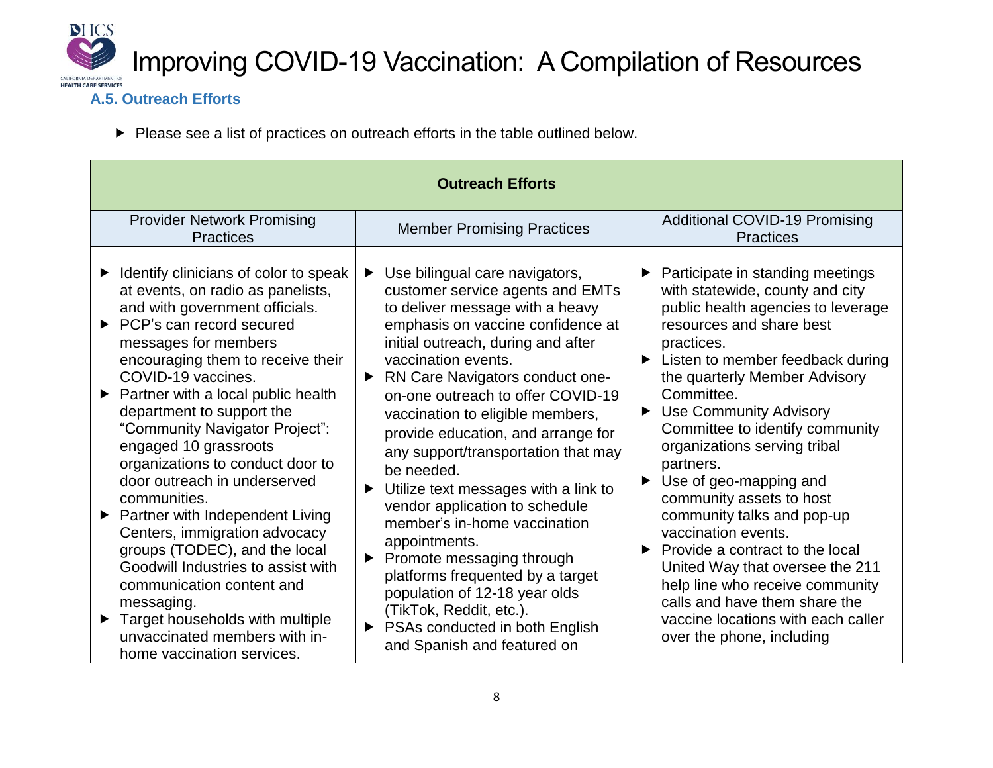

#### **A.5. Outreach Efforts**

Please see a list of practices on outreach efforts in the table outlined below.

| <b>Outreach Efforts</b>                                                                                                                                                                                                                                                                                                                                                                                                                                                                                                                                                                                                                                                                                                                                          |                                                                                                                                                                                                                                                                                                                                                                                                                                                                                                                                                                                                                                                                                                                                                                         |                                                                                                                                                                                                                                                                                                                                                                                                                                                                                                                                                                                                                                                                                                                                          |  |  |
|------------------------------------------------------------------------------------------------------------------------------------------------------------------------------------------------------------------------------------------------------------------------------------------------------------------------------------------------------------------------------------------------------------------------------------------------------------------------------------------------------------------------------------------------------------------------------------------------------------------------------------------------------------------------------------------------------------------------------------------------------------------|-------------------------------------------------------------------------------------------------------------------------------------------------------------------------------------------------------------------------------------------------------------------------------------------------------------------------------------------------------------------------------------------------------------------------------------------------------------------------------------------------------------------------------------------------------------------------------------------------------------------------------------------------------------------------------------------------------------------------------------------------------------------------|------------------------------------------------------------------------------------------------------------------------------------------------------------------------------------------------------------------------------------------------------------------------------------------------------------------------------------------------------------------------------------------------------------------------------------------------------------------------------------------------------------------------------------------------------------------------------------------------------------------------------------------------------------------------------------------------------------------------------------------|--|--|
| <b>Provider Network Promising</b><br><b>Practices</b>                                                                                                                                                                                                                                                                                                                                                                                                                                                                                                                                                                                                                                                                                                            | <b>Member Promising Practices</b>                                                                                                                                                                                                                                                                                                                                                                                                                                                                                                                                                                                                                                                                                                                                       | <b>Additional COVID-19 Promising</b><br><b>Practices</b>                                                                                                                                                                                                                                                                                                                                                                                                                                                                                                                                                                                                                                                                                 |  |  |
| Identify clinicians of color to speak<br>▶<br>at events, on radio as panelists,<br>and with government officials.<br>▶ PCP's can record secured<br>messages for members<br>encouraging them to receive their<br>COVID-19 vaccines.<br>Partner with a local public health<br>$\blacktriangleright$<br>department to support the<br>"Community Navigator Project":<br>engaged 10 grassroots<br>organizations to conduct door to<br>door outreach in underserved<br>communities.<br>Partner with Independent Living<br>$\blacktriangleright$<br>Centers, immigration advocacy<br>groups (TODEC), and the local<br>Goodwill Industries to assist with<br>communication content and<br>messaging.<br>Target households with multiple<br>unvaccinated members with in- | Use bilingual care navigators,<br>▶<br>customer service agents and EMTs<br>to deliver message with a heavy<br>emphasis on vaccine confidence at<br>initial outreach, during and after<br>vaccination events.<br><b>RN Care Navigators conduct one-</b><br>▶<br>on-one outreach to offer COVID-19<br>vaccination to eligible members,<br>provide education, and arrange for<br>any support/transportation that may<br>be needed.<br>Utilize text messages with a link to<br>▶<br>vendor application to schedule<br>member's in-home vaccination<br>appointments.<br>Promote messaging through<br>▶<br>platforms frequented by a target<br>population of 12-18 year olds<br>(TikTok, Reddit, etc.).<br>PSAs conducted in both English<br>▶<br>and Spanish and featured on | Participate in standing meetings<br>with statewide, county and city<br>public health agencies to leverage<br>resources and share best<br>practices.<br>► Listen to member feedback during<br>the quarterly Member Advisory<br>Committee.<br><b>Use Community Advisory</b><br>$\blacktriangleright$<br>Committee to identify community<br>organizations serving tribal<br>partners.<br>Use of geo-mapping and<br>$\blacktriangleright$<br>community assets to host<br>community talks and pop-up<br>vaccination events.<br>Provide a contract to the local<br>▶<br>United Way that oversee the 211<br>help line who receive community<br>calls and have them share the<br>vaccine locations with each caller<br>over the phone, including |  |  |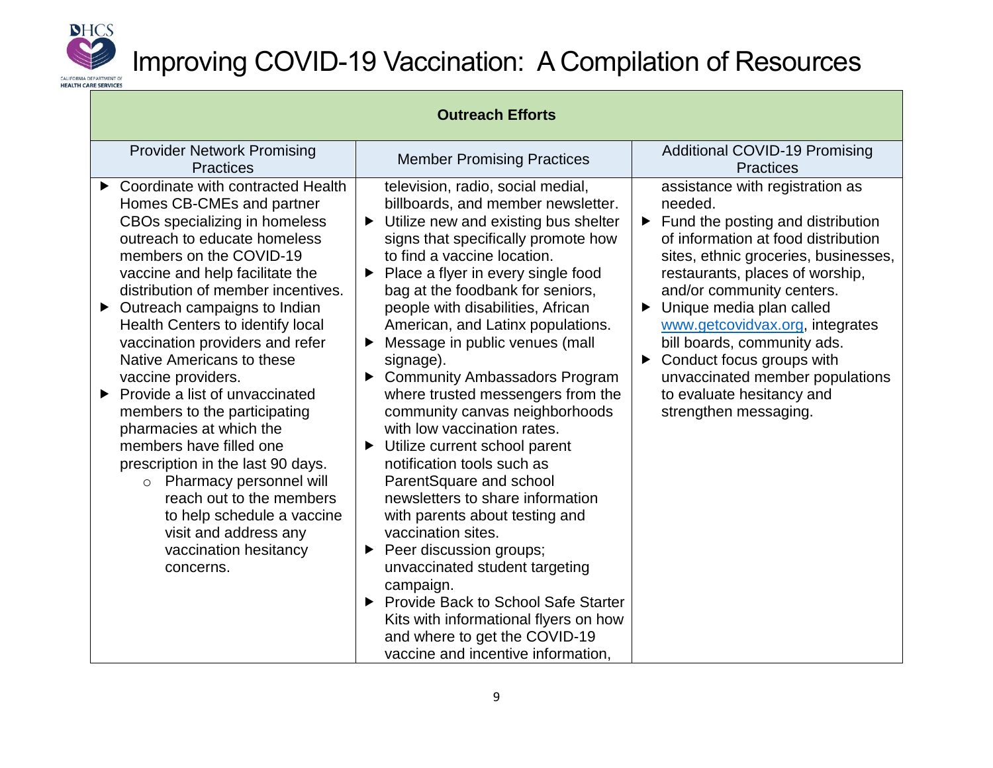

| <b>Outreach Efforts</b>                                                                                                                                                                                                                                                                                                                                                                                                                                                                                                                                                                                                                                                                                                         |                                                                                                                                                                                                                                                                                                                                                                                                                                                                                                                                                                                                                                                                                                                                                                                                                                                                                                                                                                                   |                                                                                                                                                                                                                                                                                                                                                                                                                                                                          |  |
|---------------------------------------------------------------------------------------------------------------------------------------------------------------------------------------------------------------------------------------------------------------------------------------------------------------------------------------------------------------------------------------------------------------------------------------------------------------------------------------------------------------------------------------------------------------------------------------------------------------------------------------------------------------------------------------------------------------------------------|-----------------------------------------------------------------------------------------------------------------------------------------------------------------------------------------------------------------------------------------------------------------------------------------------------------------------------------------------------------------------------------------------------------------------------------------------------------------------------------------------------------------------------------------------------------------------------------------------------------------------------------------------------------------------------------------------------------------------------------------------------------------------------------------------------------------------------------------------------------------------------------------------------------------------------------------------------------------------------------|--------------------------------------------------------------------------------------------------------------------------------------------------------------------------------------------------------------------------------------------------------------------------------------------------------------------------------------------------------------------------------------------------------------------------------------------------------------------------|--|
| <b>Provider Network Promising</b><br><b>Practices</b>                                                                                                                                                                                                                                                                                                                                                                                                                                                                                                                                                                                                                                                                           | <b>Member Promising Practices</b>                                                                                                                                                                                                                                                                                                                                                                                                                                                                                                                                                                                                                                                                                                                                                                                                                                                                                                                                                 | <b>Additional COVID-19 Promising</b><br><b>Practices</b>                                                                                                                                                                                                                                                                                                                                                                                                                 |  |
| Coordinate with contracted Health<br>▶<br>Homes CB-CMEs and partner<br>CBOs specializing in homeless<br>outreach to educate homeless<br>members on the COVID-19<br>vaccine and help facilitate the<br>distribution of member incentives.<br>Outreach campaigns to Indian<br>▶<br>Health Centers to identify local<br>vaccination providers and refer<br>Native Americans to these<br>vaccine providers.<br>Provide a list of unvaccinated<br>▶<br>members to the participating<br>pharmacies at which the<br>members have filled one<br>prescription in the last 90 days.<br>o Pharmacy personnel will<br>reach out to the members<br>to help schedule a vaccine<br>visit and address any<br>vaccination hesitancy<br>concerns. | television, radio, social medial,<br>billboards, and member newsletter.<br>Utilize new and existing bus shelter<br>signs that specifically promote how<br>to find a vaccine location.<br>Place a flyer in every single food<br>▶<br>bag at the foodbank for seniors,<br>people with disabilities, African<br>American, and Latinx populations.<br>Message in public venues (mall<br>signage).<br><b>Community Ambassadors Program</b><br>▶<br>where trusted messengers from the<br>community canvas neighborhoods<br>with low vaccination rates.<br>Utilize current school parent<br>▶<br>notification tools such as<br>ParentSquare and school<br>newsletters to share information<br>with parents about testing and<br>vaccination sites.<br>Peer discussion groups;<br>unvaccinated student targeting<br>campaign.<br>Provide Back to School Safe Starter<br>▶<br>Kits with informational flyers on how<br>and where to get the COVID-19<br>vaccine and incentive information, | assistance with registration as<br>needed.<br>$\blacktriangleright$ Fund the posting and distribution<br>of information at food distribution<br>sites, ethnic groceries, businesses,<br>restaurants, places of worship,<br>and/or community centers.<br>Unique media plan called<br>www.getcovidvax.org, integrates<br>bill boards, community ads.<br>Conduct focus groups with<br>unvaccinated member populations<br>to evaluate hesitancy and<br>strengthen messaging. |  |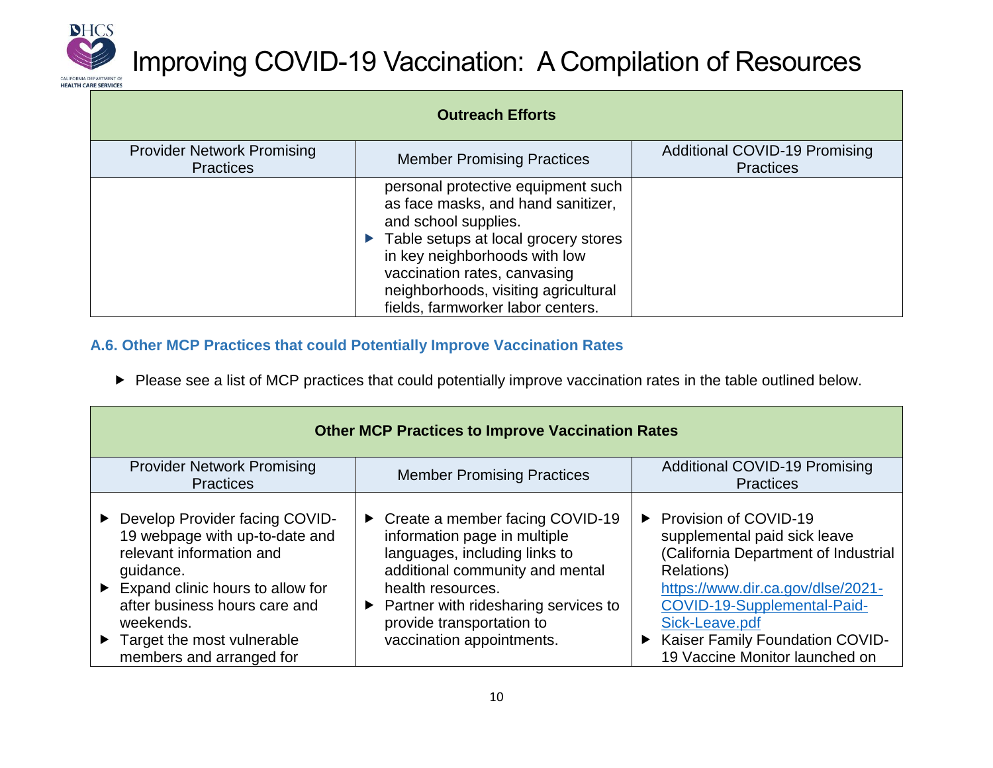

| <b>Outreach Efforts</b>                               |                                                                                                                                                                                                                                                                                        |                                                          |
|-------------------------------------------------------|----------------------------------------------------------------------------------------------------------------------------------------------------------------------------------------------------------------------------------------------------------------------------------------|----------------------------------------------------------|
| <b>Provider Network Promising</b><br><b>Practices</b> | <b>Member Promising Practices</b>                                                                                                                                                                                                                                                      | <b>Additional COVID-19 Promising</b><br><b>Practices</b> |
|                                                       | personal protective equipment such<br>as face masks, and hand sanitizer,<br>and school supplies.<br>Table setups at local grocery stores<br>in key neighborhoods with low<br>vaccination rates, canvasing<br>neighborhoods, visiting agricultural<br>fields, farmworker labor centers. |                                                          |

#### **A.6. Other MCP Practices that could Potentially Improve Vaccination Rates**

Please see a list of MCP practices that could potentially improve vaccination rates in the table outlined below.

| <b>Other MCP Practices to Improve Vaccination Rates</b>                                                                                                                                                                                                                                      |                                                                                                                                                                                                                                                                               |                                                                                                                                                                                                                                                                          |  |
|----------------------------------------------------------------------------------------------------------------------------------------------------------------------------------------------------------------------------------------------------------------------------------------------|-------------------------------------------------------------------------------------------------------------------------------------------------------------------------------------------------------------------------------------------------------------------------------|--------------------------------------------------------------------------------------------------------------------------------------------------------------------------------------------------------------------------------------------------------------------------|--|
| <b>Provider Network Promising</b><br><b>Practices</b>                                                                                                                                                                                                                                        | <b>Member Promising Practices</b>                                                                                                                                                                                                                                             | <b>Additional COVID-19 Promising</b><br><b>Practices</b>                                                                                                                                                                                                                 |  |
| Develop Provider facing COVID-<br>19 webpage with up-to-date and<br>relevant information and<br>guidance.<br>$\blacktriangleright$ Expand clinic hours to allow for<br>after business hours care and<br>weekends.<br>$\triangleright$ Target the most vulnerable<br>members and arranged for | ► Create a member facing COVID-19<br>information page in multiple<br>languages, including links to<br>additional community and mental<br>health resources.<br>$\triangleright$ Partner with ridesharing services to<br>provide transportation to<br>vaccination appointments. | ▶ Provision of COVID-19<br>supplemental paid sick leave<br>(California Department of Industrial<br>Relations)<br>https://www.dir.ca.gov/dlse/2021-<br>COVID-19-Supplemental-Paid-<br>Sick-Leave.pdf<br>Kaiser Family Foundation COVID-<br>19 Vaccine Monitor launched on |  |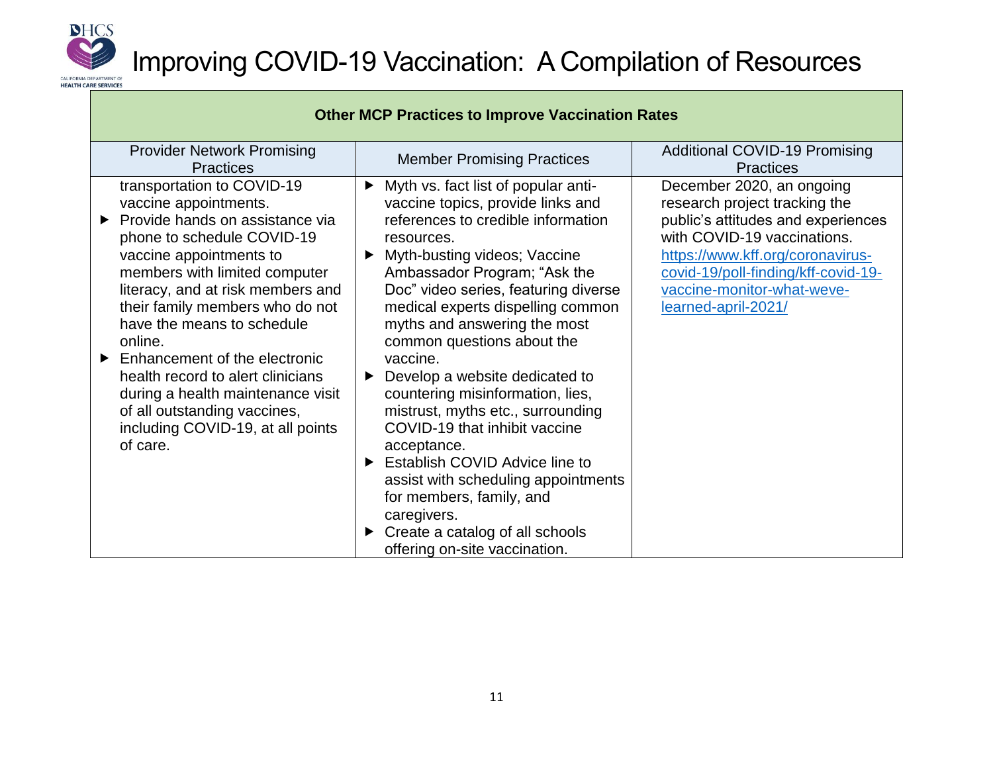

|                                                                                                                                                                                                                                                                                                                                                                                                                                                                                                    | <b>Other MCP Practices to Improve Vaccination Rates</b>                                                                                                                                                                                                                                                                                                                                                                                                                                                                                                                                                                                                                                                                                |                                                                                                                                                                                                                                                                 |
|----------------------------------------------------------------------------------------------------------------------------------------------------------------------------------------------------------------------------------------------------------------------------------------------------------------------------------------------------------------------------------------------------------------------------------------------------------------------------------------------------|----------------------------------------------------------------------------------------------------------------------------------------------------------------------------------------------------------------------------------------------------------------------------------------------------------------------------------------------------------------------------------------------------------------------------------------------------------------------------------------------------------------------------------------------------------------------------------------------------------------------------------------------------------------------------------------------------------------------------------------|-----------------------------------------------------------------------------------------------------------------------------------------------------------------------------------------------------------------------------------------------------------------|
| <b>Provider Network Promising</b><br><b>Practices</b>                                                                                                                                                                                                                                                                                                                                                                                                                                              | <b>Member Promising Practices</b>                                                                                                                                                                                                                                                                                                                                                                                                                                                                                                                                                                                                                                                                                                      | <b>Additional COVID-19 Promising</b><br><b>Practices</b>                                                                                                                                                                                                        |
| transportation to COVID-19<br>vaccine appointments.<br>Provide hands on assistance via<br>phone to schedule COVID-19<br>vaccine appointments to<br>members with limited computer<br>literacy, and at risk members and<br>their family members who do not<br>have the means to schedule<br>online.<br>Enhancement of the electronic<br>▶<br>health record to alert clinicians<br>during a health maintenance visit<br>of all outstanding vaccines,<br>including COVID-19, at all points<br>of care. | $\blacktriangleright$ Myth vs. fact list of popular anti-<br>vaccine topics, provide links and<br>references to credible information<br>resources.<br>Myth-busting videos; Vaccine<br>▶<br>Ambassador Program; "Ask the<br>Doc" video series, featuring diverse<br>medical experts dispelling common<br>myths and answering the most<br>common questions about the<br>vaccine.<br>Develop a website dedicated to<br>▶<br>countering misinformation, lies,<br>mistrust, myths etc., surrounding<br>COVID-19 that inhibit vaccine<br>acceptance.<br>Establish COVID Advice line to<br>assist with scheduling appointments<br>for members, family, and<br>caregivers.<br>Create a catalog of all schools<br>offering on-site vaccination. | December 2020, an ongoing<br>research project tracking the<br>public's attitudes and experiences<br>with COVID-19 vaccinations.<br>https://www.kff.org/coronavirus-<br>covid-19/poll-finding/kff-covid-19-<br>vaccine-monitor-what-weve-<br>learned-april-2021/ |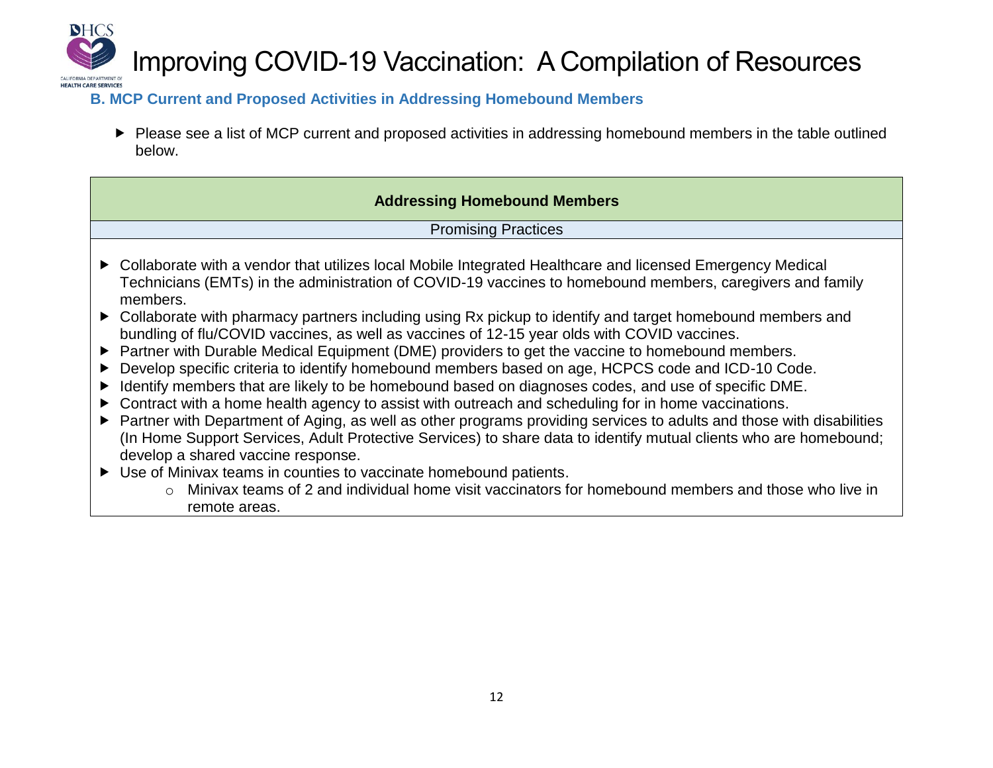

#### **B. MCP Current and Proposed Activities in Addressing Homebound Members**

▶ Please see a list of MCP current and proposed activities in addressing homebound members in the table outlined below.

#### **Addressing Homebound Members**

Promising Practices

- ▶ Collaborate with a vendor that utilizes local Mobile Integrated Healthcare and licensed Emergency Medical Technicians (EMTs) in the administration of COVID-19 vaccines to homebound members, caregivers and family members.
- ▶ Collaborate with pharmacy partners including using Rx pickup to identify and target homebound members and bundling of flu/COVID vaccines, as well as vaccines of 12-15 year olds with COVID vaccines.
- ▶ Partner with Durable Medical Equipment (DME) providers to get the vaccine to homebound members.
- ▶ Develop specific criteria to identify homebound members based on age, HCPCS code and ICD-10 Code.
- Identify members that are likely to be homebound based on diagnoses codes, and use of specific DME.
- ▶ Contract with a home health agency to assist with outreach and scheduling for in home vaccinations.
- Partner with Department of Aging, as well as other programs providing services to adults and those with disabilities (In Home Support Services, Adult Protective Services) to share data to identify mutual clients who are homebound; develop a shared vaccine response.
- Use of Minivax teams in counties to vaccinate homebound patients.
	- o Minivax teams of 2 and individual home visit vaccinators for homebound members and those who live in remote areas.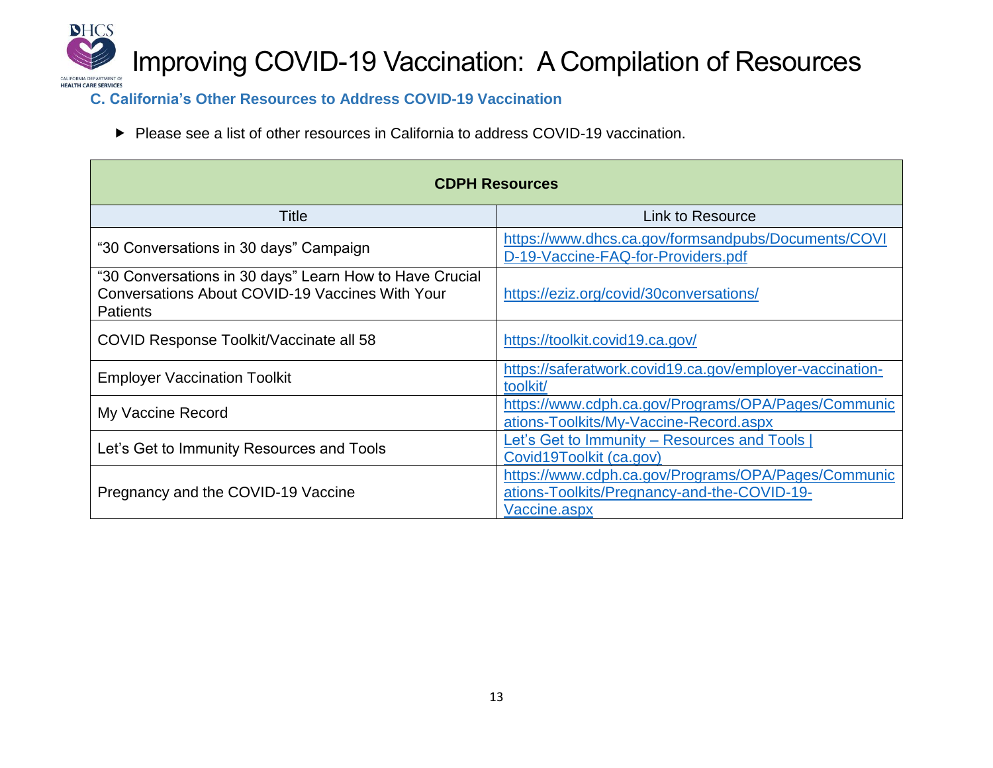

**C. California's Other Resources to Address COVID-19 Vaccination** 

▶ Please see a list of other resources in California to address COVID-19 vaccination.

| <b>CDPH Resources</b>                                                                                                         |                                                                                                                    |  |  |
|-------------------------------------------------------------------------------------------------------------------------------|--------------------------------------------------------------------------------------------------------------------|--|--|
| Title                                                                                                                         | Link to Resource                                                                                                   |  |  |
| "30 Conversations in 30 days" Campaign                                                                                        | https://www.dhcs.ca.gov/formsandpubs/Documents/COVI<br>D-19-Vaccine-FAQ-for-Providers.pdf                          |  |  |
| "30 Conversations in 30 days" Learn How to Have Crucial<br>Conversations About COVID-19 Vaccines With Your<br><b>Patients</b> | https://eziz.org/covid/30conversations/                                                                            |  |  |
| COVID Response Toolkit/Vaccinate all 58                                                                                       | https://toolkit.covid19.ca.gov/                                                                                    |  |  |
| <b>Employer Vaccination Toolkit</b>                                                                                           | https://saferatwork.covid19.ca.gov/employer-vaccination-<br>toolkit/                                               |  |  |
| My Vaccine Record                                                                                                             | https://www.cdph.ca.gov/Programs/OPA/Pages/Communic<br>ations-Toolkits/My-Vaccine-Record.aspx                      |  |  |
| Let's Get to Immunity Resources and Tools                                                                                     | Let's Get to Immunity - Resources and Tools<br>Covid19Toolkit (ca.gov)                                             |  |  |
| Pregnancy and the COVID-19 Vaccine                                                                                            | https://www.cdph.ca.gov/Programs/OPA/Pages/Communic<br>ations-Toolkits/Pregnancy-and-the-COVID-19-<br>Vaccine.aspx |  |  |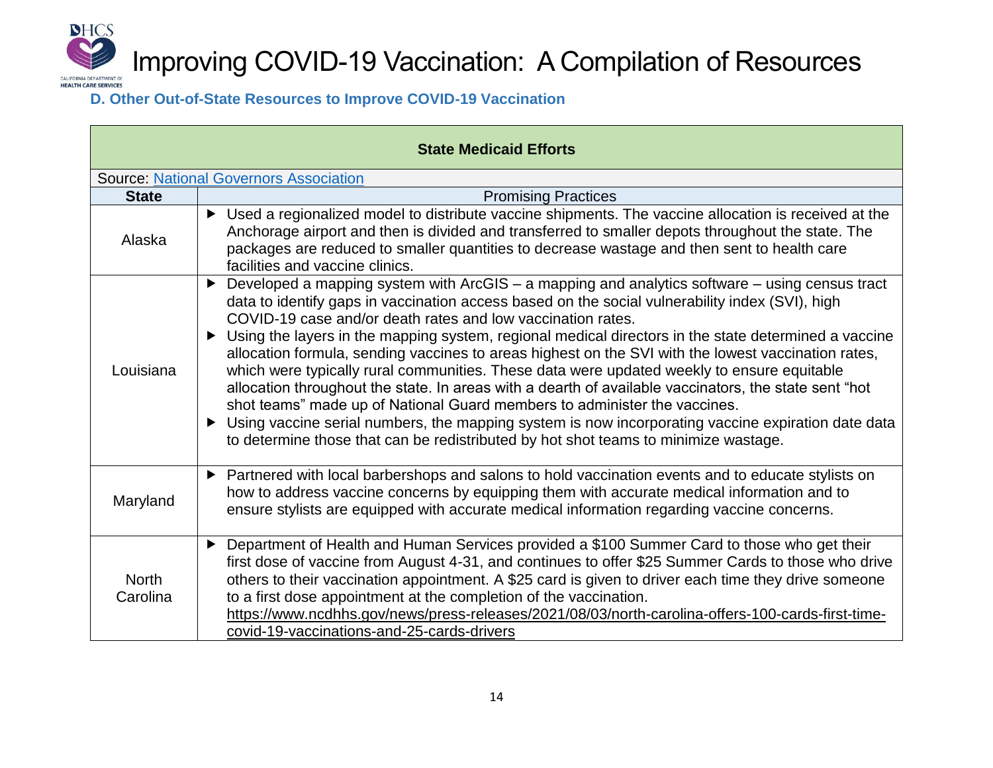

### **D. Other Out-of-State Resources to Improve COVID-19 Vaccination**

| <b>State Medicaid Efforts</b>                 |                                                                                                                                                                                                                                                                                                                                                                                                                                                                                                                                                                                                                                                                                                                                                                                                                                                                                                                                                                           |  |  |
|-----------------------------------------------|---------------------------------------------------------------------------------------------------------------------------------------------------------------------------------------------------------------------------------------------------------------------------------------------------------------------------------------------------------------------------------------------------------------------------------------------------------------------------------------------------------------------------------------------------------------------------------------------------------------------------------------------------------------------------------------------------------------------------------------------------------------------------------------------------------------------------------------------------------------------------------------------------------------------------------------------------------------------------|--|--|
| <b>Source: National Governors Association</b> |                                                                                                                                                                                                                                                                                                                                                                                                                                                                                                                                                                                                                                                                                                                                                                                                                                                                                                                                                                           |  |  |
| <b>State</b>                                  | <b>Promising Practices</b>                                                                                                                                                                                                                                                                                                                                                                                                                                                                                                                                                                                                                                                                                                                                                                                                                                                                                                                                                |  |  |
| Alaska                                        | ▶ Used a regionalized model to distribute vaccine shipments. The vaccine allocation is received at the<br>Anchorage airport and then is divided and transferred to smaller depots throughout the state. The<br>packages are reduced to smaller quantities to decrease wastage and then sent to health care<br>facilities and vaccine clinics.                                                                                                                                                                                                                                                                                                                                                                                                                                                                                                                                                                                                                             |  |  |
| Louisiana                                     | Developed a mapping system with ArcGIS - a mapping and analytics software - using census tract<br>▶<br>data to identify gaps in vaccination access based on the social vulnerability index (SVI), high<br>COVID-19 case and/or death rates and low vaccination rates.<br>► Using the layers in the mapping system, regional medical directors in the state determined a vaccine<br>allocation formula, sending vaccines to areas highest on the SVI with the lowest vaccination rates,<br>which were typically rural communities. These data were updated weekly to ensure equitable<br>allocation throughout the state. In areas with a dearth of available vaccinators, the state sent "hot<br>shot teams" made up of National Guard members to administer the vaccines.<br>> Using vaccine serial numbers, the mapping system is now incorporating vaccine expiration date data<br>to determine those that can be redistributed by hot shot teams to minimize wastage. |  |  |
| Maryland                                      | Partnered with local barbershops and salons to hold vaccination events and to educate stylists on<br>▶<br>how to address vaccine concerns by equipping them with accurate medical information and to<br>ensure stylists are equipped with accurate medical information regarding vaccine concerns.                                                                                                                                                                                                                                                                                                                                                                                                                                                                                                                                                                                                                                                                        |  |  |
| <b>North</b><br>Carolina                      | Department of Health and Human Services provided a \$100 Summer Card to those who get their<br>$\blacktriangleright$<br>first dose of vaccine from August 4-31, and continues to offer \$25 Summer Cards to those who drive<br>others to their vaccination appointment. A \$25 card is given to driver each time they drive someone<br>to a first dose appointment at the completion of the vaccination.<br>https://www.ncdhhs.gov/news/press-releases/2021/08/03/north-carolina-offers-100-cards-first-time-<br>covid-19-vaccinations-and-25-cards-drivers                                                                                                                                                                                                                                                                                                                                                                                                               |  |  |